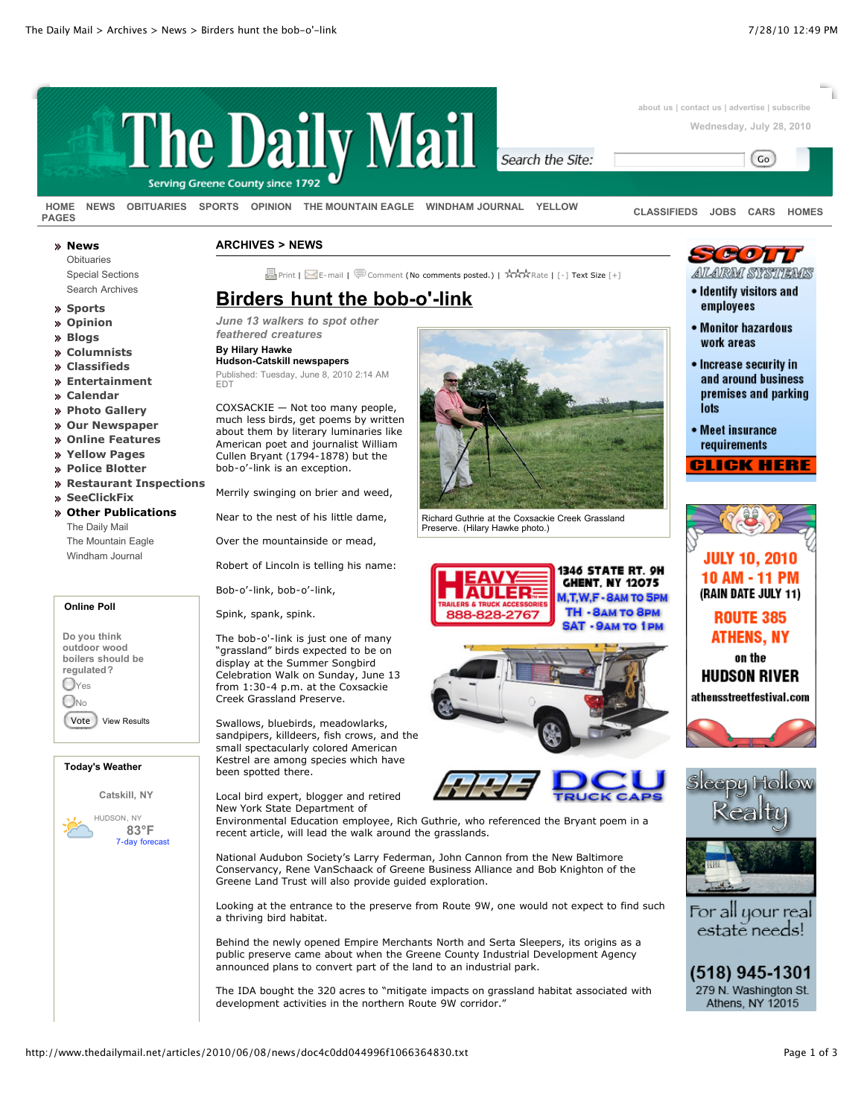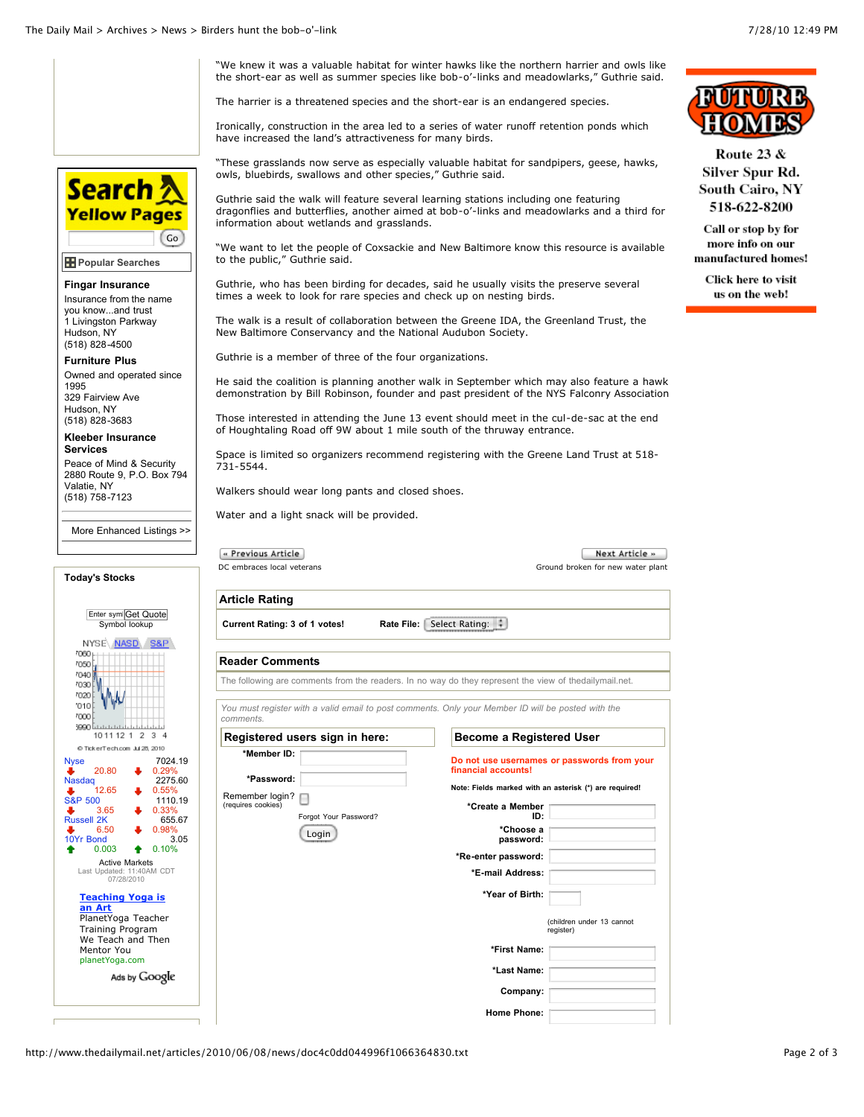

**\*Year of Birth:**

**\*First Name: \*Last Name: Company: Home Phone:** (children under 13 cannot register)

http://www.thedailymail.net/articles/2010/06/08/news/doc4c0dd044996f1066364830.txt Page 2 of 3

**[Teaching Yoga is](http://googleads.g.doubleclick.net/aclk?sa=l&ai=BPr1TLV9QTP-FKZrvnAevoszUCOLiqbABsqbJ_hSS6b_tRpCpNhABGAEgp_SRCzgAUOqOmPn6_____wFgyZ63i8Ck1BCgAbPWvv8DsgEUd3d3LnRoZWRhaWx5bWFpbC5uZXS6AQoxMjV4MTI1X2FzyAEB2gFSaHR0cDovL3d3dy50aGVkYWlseW1haWwubmV0L2FydGljbGVzLzIwMTAvMDYvMDgvbmV3cy9kb2M0YzBkZDA0NDk5NmYxMDY2MzY0ODMwLnR4dIACAcACBagDAcgDB-gD9AboA1LoA3f1AwAAAMQ&num=1&sig=AGiWqtxRHPN7VEp4D8L1ZsD17np7fSc4fQ&client=ca-pub-3247919408132322&adurl=http://planetYoga.com) an Art**

PlanetYoga Teacher Training Program We Teach and Then Mentor You planetYoga.com

Ads by Google